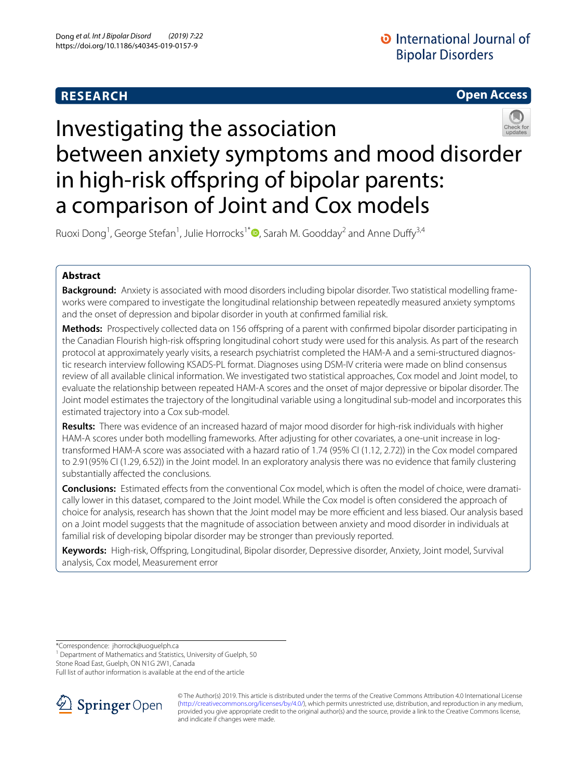# **RESEARCH**

# **Open Access**



# Investigating the association between anxiety symptoms and mood disorder in high-risk offspring of bipolar parents: a comparison of Joint and Cox models

Ruoxi Dong<sup>1</sup>[,](http://orcid.org/0000-0001-5857-7636) George Stefan<sup>1</sup>, Julie Horrocks<sup>1\*</sup><sup>D</sup>, Sarah M. Goodday<sup>2</sup> and Anne Duffy<sup>3,4</sup>

# **Abstract**

**Background:** Anxiety is associated with mood disorders including bipolar disorder. Two statistical modelling frameworks were compared to investigate the longitudinal relationship between repeatedly measured anxiety symptoms and the onset of depression and bipolar disorder in youth at confrmed familial risk.

**Methods:** Prospectively collected data on 156 ofspring of a parent with confrmed bipolar disorder participating in the Canadian Flourish high-risk ofspring longitudinal cohort study were used for this analysis. As part of the research protocol at approximately yearly visits, a research psychiatrist completed the HAM-A and a semi-structured diagnostic research interview following KSADS-PL format. Diagnoses using DSM-IV criteria were made on blind consensus review of all available clinical information. We investigated two statistical approaches, Cox model and Joint model, to evaluate the relationship between repeated HAM-A scores and the onset of major depressive or bipolar disorder. The Joint model estimates the trajectory of the longitudinal variable using a longitudinal sub-model and incorporates this estimated trajectory into a Cox sub-model.

**Results:** There was evidence of an increased hazard of major mood disorder for high-risk individuals with higher HAM-A scores under both modelling frameworks. After adjusting for other covariates, a one-unit increase in logtransformed HAM-A score was associated with a hazard ratio of 1.74 (95% CI (1.12, 2.72)) in the Cox model compared to 2.91(95% CI (1.29, 6.52)) in the Joint model. In an exploratory analysis there was no evidence that family clustering substantially afected the conclusions.

**Conclusions:** Estimated efects from the conventional Cox model, which is often the model of choice, were dramatically lower in this dataset, compared to the Joint model. While the Cox model is often considered the approach of choice for analysis, research has shown that the Joint model may be more efficient and less biased. Our analysis based on a Joint model suggests that the magnitude of association between anxiety and mood disorder in individuals at familial risk of developing bipolar disorder may be stronger than previously reported.

**Keywords:** High-risk, Ofspring, Longitudinal, Bipolar disorder, Depressive disorder, Anxiety, Joint model, Survival analysis, Cox model, Measurement error

\*Correspondence: jhorrock@uoguelph.ca

Stone Road East, Guelph, ON N1G 2W1, Canada

Full list of author information is available at the end of the article



© The Author(s) 2019. This article is distributed under the terms of the Creative Commons Attribution 4.0 International License [\(http://creativecommons.org/licenses/by/4.0/\)](http://creativecommons.org/licenses/by/4.0/), which permits unrestricted use, distribution, and reproduction in any medium, provided you give appropriate credit to the original author(s) and the source, provide a link to the Creative Commons license, and indicate if changes were made.

<sup>&</sup>lt;sup>1</sup> Department of Mathematics and Statistics, University of Guelph, 50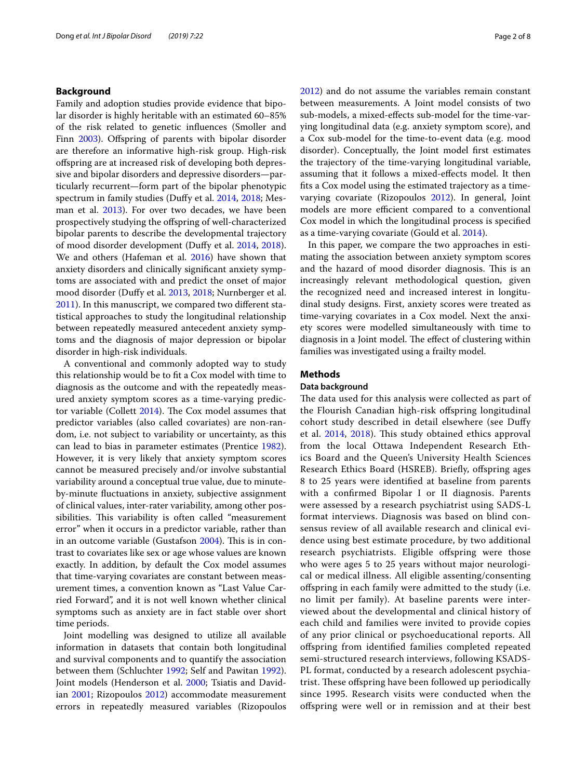# **Background**

Family and adoption studies provide evidence that bipolar disorder is highly heritable with an estimated 60–85% of the risk related to genetic infuences (Smoller and Finn [2003](#page-7-0)). Offspring of parents with bipolar disorder are therefore an informative high-risk group. High-risk ofspring are at increased risk of developing both depressive and bipolar disorders and depressive disorders—particularly recurrent—form part of the bipolar phenotypic spectrum in family studies (Dufy et al. [2014,](#page-7-1) [2018](#page-7-2); Mes-man et al. [2013](#page-7-3)). For over two decades, we have been prospectively studying the ofspring of well-characterized bipolar parents to describe the developmental trajectory of mood disorder development (Dufy et al. [2014](#page-7-1), [2018](#page-7-2)). We and others (Hafeman et al. [2016](#page-7-4)) have shown that anxiety disorders and clinically signifcant anxiety symptoms are associated with and predict the onset of major mood disorder (Dufy et al. [2013,](#page-7-5) [2018](#page-7-2); Nurnberger et al. [2011](#page-7-6)). In this manuscript, we compared two diferent statistical approaches to study the longitudinal relationship between repeatedly measured antecedent anxiety symptoms and the diagnosis of major depression or bipolar disorder in high-risk individuals.

A conventional and commonly adopted way to study this relationship would be to ft a Cox model with time to diagnosis as the outcome and with the repeatedly measured anxiety symptom scores as a time-varying predictor variable (Collett  $2014$ ). The Cox model assumes that predictor variables (also called covariates) are non-random, i.e. not subject to variability or uncertainty, as this can lead to bias in parameter estimates (Prentice [1982](#page-7-8)). However, it is very likely that anxiety symptom scores cannot be measured precisely and/or involve substantial variability around a conceptual true value, due to minuteby-minute fuctuations in anxiety, subjective assignment of clinical values, inter-rater variability, among other possibilities. This variability is often called "measurement error" when it occurs in a predictor variable, rather than in an outcome variable (Gustafson  $2004$ ). This is in contrast to covariates like sex or age whose values are known exactly. In addition, by default the Cox model assumes that time-varying covariates are constant between measurement times, a convention known as "Last Value Carried Forward", and it is not well known whether clinical symptoms such as anxiety are in fact stable over short time periods.

Joint modelling was designed to utilize all available information in datasets that contain both longitudinal and survival components and to quantify the association between them (Schluchter [1992](#page-7-10); Self and Pawitan [1992](#page-7-11)). Joint models (Henderson et al. [2000;](#page-7-12) Tsiatis and Davidian [2001](#page-7-13); Rizopoulos [2012](#page-7-14)) accommodate measurement errors in repeatedly measured variables (Rizopoulos [2012](#page-7-14)) and do not assume the variables remain constant between measurements. A Joint model consists of two sub-models, a mixed-efects sub-model for the time-varying longitudinal data (e.g. anxiety symptom score), and a Cox sub-model for the time-to-event data (e.g. mood disorder). Conceptually, the Joint model frst estimates the trajectory of the time-varying longitudinal variable, assuming that it follows a mixed-efects model. It then fts a Cox model using the estimated trajectory as a timevarying covariate (Rizopoulos [2012](#page-7-14)). In general, Joint models are more efficient compared to a conventional Cox model in which the longitudinal process is specifed as a time-varying covariate (Gould et al. [2014](#page-7-15)).

In this paper, we compare the two approaches in estimating the association between anxiety symptom scores and the hazard of mood disorder diagnosis. This is an increasingly relevant methodological question, given the recognized need and increased interest in longitudinal study designs. First, anxiety scores were treated as time-varying covariates in a Cox model. Next the anxiety scores were modelled simultaneously with time to diagnosis in a Joint model. The effect of clustering within families was investigated using a frailty model.

## **Methods**

#### **Data background**

The data used for this analysis were collected as part of the Flourish Canadian high-risk ofspring longitudinal cohort study described in detail elsewhere (see Dufy et al. [2014,](#page-7-1) [2018\)](#page-7-2). This study obtained ethics approval from the local Ottawa Independent Research Ethics Board and the Queen's University Health Sciences Research Ethics Board (HSREB). Briefly, offspring ages 8 to 25 years were identifed at baseline from parents with a confrmed Bipolar I or II diagnosis. Parents were assessed by a research psychiatrist using SADS-L format interviews. Diagnosis was based on blind consensus review of all available research and clinical evidence using best estimate procedure, by two additional research psychiatrists. Eligible offspring were those who were ages 5 to 25 years without major neurological or medical illness. All eligible assenting/consenting ofspring in each family were admitted to the study (i.e. no limit per family). At baseline parents were interviewed about the developmental and clinical history of each child and families were invited to provide copies of any prior clinical or psychoeducational reports. All ofspring from identifed families completed repeated semi-structured research interviews, following KSADS-PL format, conducted by a research adolescent psychiatrist. These offspring have been followed up periodically since 1995. Research visits were conducted when the ofspring were well or in remission and at their best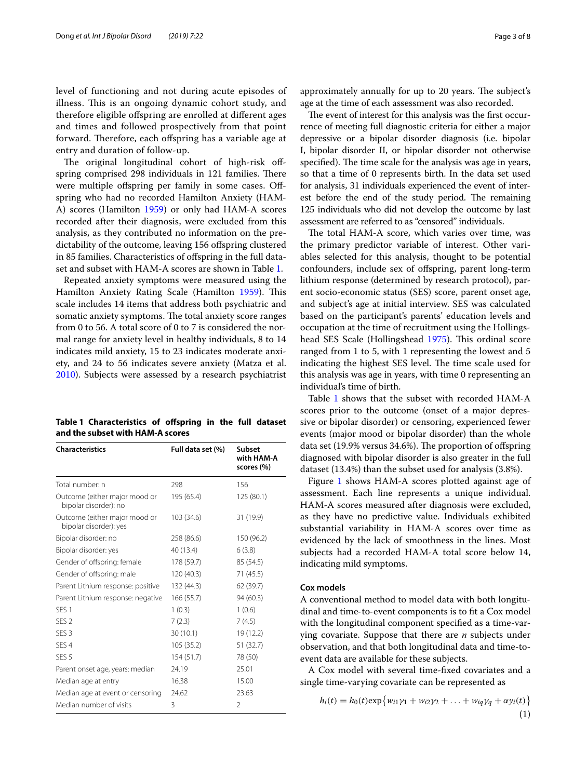level of functioning and not during acute episodes of illness. This is an ongoing dynamic cohort study, and therefore eligible ofspring are enrolled at diferent ages and times and followed prospectively from that point forward. Therefore, each offspring has a variable age at entry and duration of follow-up.

The original longitudinal cohort of high-risk offspring comprised 298 individuals in 121 families. There were multiple offspring per family in some cases. Offspring who had no recorded Hamilton Anxiety (HAM-A) scores (Hamilton [1959](#page-7-16)) or only had HAM-A scores recorded after their diagnosis, were excluded from this analysis, as they contributed no information on the predictability of the outcome, leaving 156 offspring clustered in 85 families. Characteristics of offspring in the full dataset and subset with HAM-A scores are shown in Table [1](#page-2-0).

Repeated anxiety symptoms were measured using the Hamilton Anxiety Rating Scale (Hamilton [1959\)](#page-7-16). This scale includes 14 items that address both psychiatric and somatic anxiety symptoms. The total anxiety score ranges from 0 to 56. A total score of 0 to 7 is considered the normal range for anxiety level in healthy individuals, 8 to 14 indicates mild anxiety, 15 to 23 indicates moderate anxiety, and 24 to 56 indicates severe anxiety (Matza et al. [2010](#page-7-17)). Subjects were assessed by a research psychiatrist

<span id="page-2-0"></span>

| Table 1 Characteristics of offspring in the full dataset |  |  |  |
|----------------------------------------------------------|--|--|--|
| and the subset with HAM-A scores                         |  |  |  |

| <b>Characteristics</b>                                  | Full data set (%) | <b>Subset</b><br>with HAM-A<br>scores (%) |
|---------------------------------------------------------|-------------------|-------------------------------------------|
| Total number: n                                         | 298               | 156                                       |
| Outcome (either major mood or<br>bipolar disorder): no  | 195 (65.4)        | 125 (80.1)                                |
| Outcome (either major mood or<br>bipolar disorder): yes | 103 (34.6)        | 31 (19.9)                                 |
| Bipolar disorder: no                                    | 258 (86.6)        | 150 (96.2)                                |
| Bipolar disorder: yes                                   | 40 (13.4)         | 6(3.8)                                    |
| Gender of offspring: female                             | 178 (59.7)        | 85 (54.5)                                 |
| Gender of offspring: male                               | 120(40.3)         | 71 (45.5)                                 |
| Parent Lithium response: positive                       | 132 (44.3)        | 62 (39.7)                                 |
| Parent Lithium response: negative                       | 166(55.7)         | 94 (60.3)                                 |
| SES <sub>1</sub>                                        | 1(0.3)            | 1(0.6)                                    |
| SES <sub>2</sub>                                        | 7(2.3)            | 7(4.5)                                    |
| SES <sub>3</sub>                                        | 30(10.1)          | 19 (12.2)                                 |
| SFS <sub>4</sub>                                        | 105 (35.2)        | 51 (32.7)                                 |
| SES <sub>5</sub>                                        | 154(51.7)         | 78 (50)                                   |
| Parent onset age, years: median                         | 24.19             | 25.01                                     |
| Median age at entry                                     | 16.38             | 15.00                                     |
| Median age at event or censoring                        | 24.62             | 23.63                                     |
| Median number of visits                                 | 3                 | $\mathfrak{D}$                            |

approximately annually for up to 20 years. The subject's age at the time of each assessment was also recorded.

The event of interest for this analysis was the first occurrence of meeting full diagnostic criteria for either a major depressive or a bipolar disorder diagnosis (i.e. bipolar I, bipolar disorder II, or bipolar disorder not otherwise specified). The time scale for the analysis was age in years, so that a time of 0 represents birth. In the data set used for analysis, 31 individuals experienced the event of interest before the end of the study period. The remaining 125 individuals who did not develop the outcome by last assessment are referred to as "censored" individuals.

The total HAM-A score, which varies over time, was the primary predictor variable of interest. Other variables selected for this analysis, thought to be potential confounders, include sex of ofspring, parent long-term lithium response (determined by research protocol), parent socio-economic status (SES) score, parent onset age, and subject's age at initial interview. SES was calculated based on the participant's parents' education levels and occupation at the time of recruitment using the Hollings-head SES Scale (Hollingshead [1975](#page-7-18)). This ordinal score ranged from 1 to 5, with 1 representing the lowest and 5 indicating the highest SES level. The time scale used for this analysis was age in years, with time 0 representing an individual's time of birth.

Table [1](#page-2-0) shows that the subset with recorded HAM-A scores prior to the outcome (onset of a major depressive or bipolar disorder) or censoring, experienced fewer events (major mood or bipolar disorder) than the whole data set (19.9% versus 34.6%). The proportion of offspring diagnosed with bipolar disorder is also greater in the full dataset (13.4%) than the subset used for analysis (3.8%).

Figure [1](#page-3-0) shows HAM-A scores plotted against age of assessment. Each line represents a unique individual. HAM-A scores measured after diagnosis were excluded, as they have no predictive value. Individuals exhibited substantial variability in HAM-A scores over time as evidenced by the lack of smoothness in the lines. Most subjects had a recorded HAM-A total score below 14, indicating mild symptoms.

# **Cox models**

A conventional method to model data with both longitudinal and time-to-event components is to ft a Cox model with the longitudinal component specifed as a time-varying covariate. Suppose that there are  $n$  subjects under observation, and that both longitudinal data and time-toevent data are available for these subjects.

A Cox model with several time-fxed covariates and a single time-varying covariate can be represented as

$$
h_i(t) = h_0(t) \exp\{w_{i1}\gamma_1 + w_{i2}\gamma_2 + \dots + w_{iq}\gamma_q + \alpha y_i(t)\}\
$$
<sup>(1)</sup>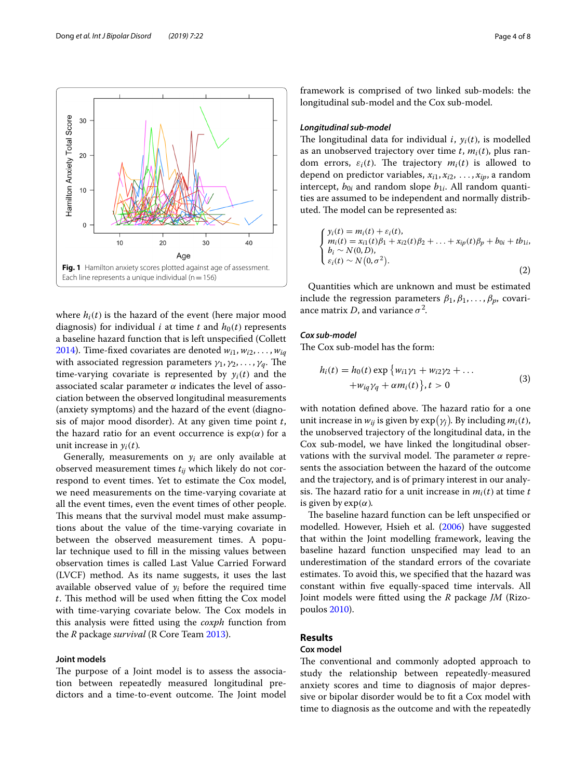

<span id="page-3-0"></span>where  $h_i(t)$  is the hazard of the event (here major mood diagnosis) for individual *i* at time *t* and  $h_0(t)$  represents a baseline hazard function that is left unspecifed (Collett [2014](#page-7-7)). Time-fixed covariates are denoted  $w_{i1}, w_{i2}, \ldots, w_{iq}$ with associated regression parameters  $\gamma_1, \gamma_2, \ldots, \gamma_q$ . The time-varying covariate is represented by  $y_i(t)$  and the associated scalar parameter  $\alpha$  indicates the level of association between the observed longitudinal measurements (anxiety symptoms) and the hazard of the event (diagnosis of major mood disorder). At any given time point  $t$ , the hazard ratio for an event occurrence is  $exp(\alpha)$  for a unit increase in  $y_i(t)$ .

Generally, measurements on  $y_i$  are only available at observed measurement times  $t_{ii}$  which likely do not correspond to event times. Yet to estimate the Cox model, we need measurements on the time-varying covariate at all the event times, even the event times of other people. This means that the survival model must make assumptions about the value of the time-varying covariate in between the observed measurement times. A popular technique used to fll in the missing values between observation times is called Last Value Carried Forward (LVCF) method. As its name suggests, it uses the last available observed value of  $y_i$  before the required time  $t$ . This method will be used when fitting the Cox model with time-varying covariate below. The Cox models in this analysis were ftted using the *coxph* function from the *R* package *survival* (R Core Team [2013\)](#page-7-19).

# **Joint models**

The purpose of a Joint model is to assess the association between repeatedly measured longitudinal predictors and a time-to-event outcome. The Joint model framework is comprised of two linked sub-models: the longitudinal sub-model and the Cox sub-model.

# *Longitudinal sub‑model*

The longitudinal data for individual *i*,  $y_i(t)$ , is modelled as an unobserved trajectory over time  $t$ ,  $m_i(t)$ , plus random errors,  $\varepsilon_i(t)$ . The trajectory  $m_i(t)$  is allowed to depend on predictor variables,  $x_{i1}, x_{i2}, \ldots, x_{ip}$ , a random intercept,  $b_{0i}$  and random slope  $b_{1i}$ . All random quantities are assumed to be independent and normally distributed. The model can be represented as:

$$
\begin{cases}\ny_i(t) = m_i(t) + \varepsilon_i(t), \\
m_i(t) = x_{i1}(t)\beta_1 + x_{i2}(t)\beta_2 + \dots + x_{ip}(t)\beta_p + b_{0i} + t b_{1i}, \\
b_i \sim N(0, D), \\
\varepsilon_i(t) \sim N(0, \sigma^2).\n\end{cases}
$$
\n(2)

Quantities which are unknown and must be estimated include the regression parameters  $\beta_1, \beta_1, \ldots, \beta_p$ , covariance matrix *D*, and variance  $\sigma^2$ .

# *Cox sub‑model*

The Cox sub-model has the form:

$$
h_i(t) = h_0(t) \exp \{w_{i1}\gamma_1 + w_{i2}\gamma_2 + \dots
$$
  
+ 
$$
w_{iq}\gamma_q + \alpha m_i(t) \}, t > 0
$$
 (3)

with notation defined above. The hazard ratio for a one unit increase in  $w_{ij}$  is given by  $\exp(\gamma_j)$ . By including  $m_i(t)$ , the unobserved trajectory of the longitudinal data, in the Cox sub-model, we have linked the longitudinal observations with the survival model. The parameter  $\alpha$  represents the association between the hazard of the outcome and the trajectory, and is of primary interest in our analysis. The hazard ratio for a unit increase in  $m_i(t)$  at time t is given by  $exp(\alpha)$ .

The baseline hazard function can be left unspecified or modelled. However, Hsieh et al. ([2006](#page-7-20)) have suggested that within the Joint modelling framework, leaving the baseline hazard function unspecifed may lead to an underestimation of the standard errors of the covariate estimates. To avoid this, we specifed that the hazard was constant within fve equally-spaced time intervals. All Joint models were ftted using the *R* package *JM* (Rizopoulos [2010](#page-7-21)).

# **Results**

# **Cox model**

The conventional and commonly adopted approach to study the relationship between repeatedly-measured anxiety scores and time to diagnosis of major depressive or bipolar disorder would be to ft a Cox model with time to diagnosis as the outcome and with the repeatedly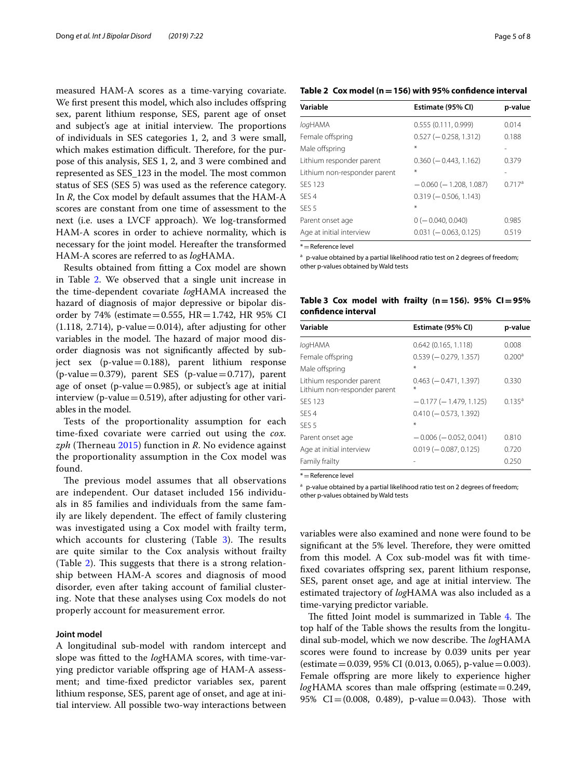measured HAM-A scores as a time-varying covariate. We first present this model, which also includes offspring sex, parent lithium response, SES, parent age of onset and subject's age at initial interview. The proportions of individuals in SES categories 1, 2, and 3 were small, which makes estimation difficult. Therefore, for the purpose of this analysis, SES 1, 2, and 3 were combined and represented as SES 123 in the model. The most common status of SES (SES 5) was used as the reference category. In *R*, the Cox model by default assumes that the HAM-A scores are constant from one time of assessment to the next (i.e. uses a LVCF approach). We log-transformed HAM-A scores in order to achieve normality, which is necessary for the joint model. Hereafter the transformed HAM-A scores are referred to as *log*HAMA.

Results obtained from ftting a Cox model are shown in Table [2](#page-4-0). We observed that a single unit increase in the time-dependent covariate *log*HAMA increased the hazard of diagnosis of major depressive or bipolar disorder by 74% (estimate = 0.555,  $HR = 1.742$ , HR 95% CI  $(1.118, 2.714)$ , p-value = 0.014), after adjusting for other variables in the model. The hazard of major mood disorder diagnosis was not signifcantly afected by subject sex (p-value=0.188), parent lithium response  $(p-value=0.379)$ , parent SES  $(p-value=0.717)$ , parent age of onset (p-value=0.985), or subject's age at initial interview (p-value $=0.519$ ), after adjusting for other variables in the model.

Tests of the proportionality assumption for each time-fxed covariate were carried out using the *cox.* zph (Therneau [2015](#page-7-22)) function in *R*. No evidence against the proportionality assumption in the Cox model was found.

The previous model assumes that all observations are independent. Our dataset included 156 individuals in 85 families and individuals from the same family are likely dependent. The effect of family clustering was investigated using a Cox model with frailty term, which accounts for clustering (Table  $3$ ). The results are quite similar to the Cox analysis without frailty (Table  $2$ ). This suggests that there is a strong relationship between HAM-A scores and diagnosis of mood disorder, even after taking account of familial clustering. Note that these analyses using Cox models do not properly account for measurement error.

# **Joint model**

A longitudinal sub-model with random intercept and slope was ftted to the *log*HAMA scores, with time-varying predictor variable ofspring age of HAM-A assessment; and time-fxed predictor variables sex, parent lithium response, SES, parent age of onset, and age at initial interview. All possible two-way interactions between

# <span id="page-4-0"></span>**Table 2 Cox model (n=156) with 95% confdence interval**

| Variable                     | Estimate (95% CI)            | p-value |  |
|------------------------------|------------------------------|---------|--|
| logHAMA                      | 0.555(0.111, 0.999)          | 0.014   |  |
| Female offspring             | $0.527 (-0.258, 1.312)$      | 0.188   |  |
| Male offspring               | ⋇                            |         |  |
| Lithium responder parent     | $0.360 (-0.443, 1.162)$      | 0.379   |  |
| Lithium non-responder parent | ÷                            |         |  |
| <b>SFS 123</b>               | $-0.060$ ( $-1.208$ , 1.087) | 0.717a  |  |
| SFS <sub>4</sub>             | $0.319 (-0.506, 1.143)$      |         |  |
| SES <sub>5</sub>             | ÷                            |         |  |
| Parent onset age             | $0$ (- 0.040, 0.040)         | 0.985   |  |
| Age at initial interview     | $0.031 (-0.063, 0.125)$      | 0.519   |  |
|                              |                              |         |  |

\*=Reference level

<sup>a</sup> p-value obtained by a partial likelihood ratio test on 2 degrees of freedom;

other p-values obtained by Wald tests

<span id="page-4-1"></span>**Table 3 Cox model with frailty (n=156). 95% CI=95% confdence interval**

| Variable                                                 | Estimate (95% CI)                | p-value            |
|----------------------------------------------------------|----------------------------------|--------------------|
| logHAMA                                                  | 0.642(0.165, 1.118)              | 0.008              |
| Female offspring                                         | $0.539 (-0.279, 1.357)$          | 0.200 <sup>a</sup> |
| Male offspring                                           | ¥.                               |                    |
| Lithium responder parent<br>Lithium non-responder parent | $0.463$ ( $-0.471$ , 1.397)<br>∗ | 0.330              |
| <b>SFS 123</b>                                           | $-0.177(-1.479, 1.125)$          | $0.135^{a}$        |
| SFS <sub>4</sub>                                         | $0.410 (-0.573, 1.392)$          |                    |
| SES <sub>5</sub>                                         | ¥.                               |                    |
| Parent onset age                                         | $-0.006$ ( $-0.052$ , 0.041)     | 0.810              |
| Age at initial interview                                 | $0.019 (-0.087, 0.125)$          | 0.720              |
| Family frailty                                           |                                  | 0.250              |

\*=Reference level

<sup>a</sup> p-value obtained by a partial likelihood ratio test on 2 degrees of freedom; other p-values obtained by Wald tests

variables were also examined and none were found to be significant at the 5% level. Therefore, they were omitted from this model. A Cox sub-model was ft with timefixed covariates offspring sex, parent lithium response, SES, parent onset age, and age at initial interview. The estimated trajectory of *log*HAMA was also included as a time-varying predictor variable.

The fitted Joint model is summarized in Table [4](#page-5-0). The top half of the Table shows the results from the longitudinal sub-model, which we now describe. The *log*HAMA scores were found to increase by 0.039 units per year (estimate = 0.039, 95% CI (0.013, 0.065), p-value = 0.003). Female offspring are more likely to experience higher  $log$ HAMA scores than male offspring (estimate = 0.249, 95% CI= $(0.008, 0.489)$ , p-value=0.043). Those with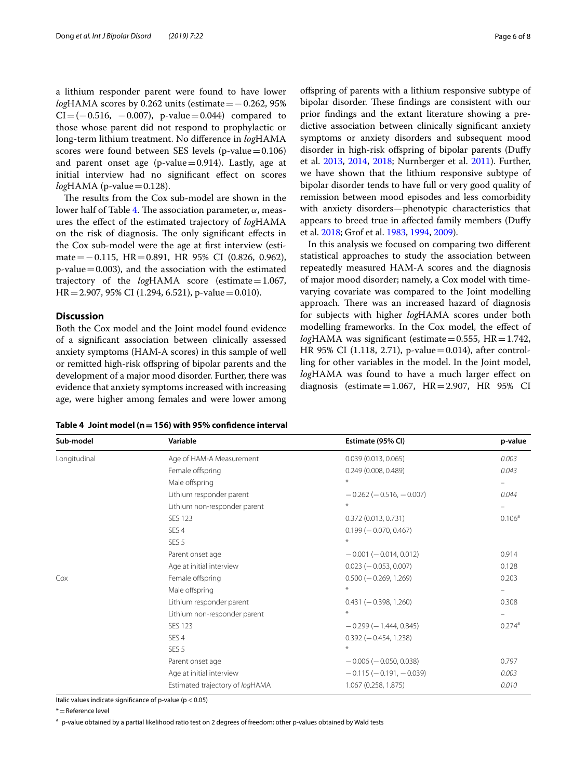a lithium responder parent were found to have lower *log*HAMA scores by 0.262 units (estimate = −0.262, 95%  $CI = (-0.516, -0.007)$ , p-value=0.044) compared to those whose parent did not respond to prophylactic or long-term lithium treatment. No diference in *log*HAMA scores were found between SES levels (p-value $=0.106$ ) and parent onset age (p-value=0.914). Lastly, age at initial interview had no signifcant efect on scores  $log$ HAMA (p-value $=$  0.128).

The results from the Cox sub-model are shown in the lower half of Table [4](#page-5-0). The association parameter,  $\alpha$ , measures the efect of the estimated trajectory of *log*HAMA on the risk of diagnosis. The only significant effects in the Cox sub-model were the age at frst interview (estimate=−0.115, HR=0.891, HR 95% CI (0.826, 0.962),  $p$ -value = 0.003), and the association with the estimated trajectory of the *log*HAMA score (estimate=1.067,  $HR = 2.907, 95\% \text{ CI } (1.294, 6.521), \text{ p-value} = 0.010.$ 

## **Discussion**

Both the Cox model and the Joint model found evidence of a signifcant association between clinically assessed anxiety symptoms (HAM-A scores) in this sample of well or remitted high-risk ofspring of bipolar parents and the development of a major mood disorder. Further, there was evidence that anxiety symptoms increased with increasing age, were higher among females and were lower among ofspring of parents with a lithium responsive subtype of bipolar disorder. These findings are consistent with our prior fndings and the extant literature showing a predictive association between clinically signifcant anxiety symptoms or anxiety disorders and subsequent mood disorder in high-risk offspring of bipolar parents (Duffy et al. [2013,](#page-7-5) [2014,](#page-7-1) [2018;](#page-7-2) Nurnberger et al. [2011\)](#page-7-6). Further, we have shown that the lithium responsive subtype of bipolar disorder tends to have full or very good quality of remission between mood episodes and less comorbidity with anxiety disorders—phenotypic characteristics that appears to breed true in afected family members (Dufy et al. [2018](#page-7-2); Grof et al. [1983,](#page-7-23) [1994,](#page-7-24) [2009\)](#page-7-25).

In this analysis we focused on comparing two diferent statistical approaches to study the association between repeatedly measured HAM-A scores and the diagnosis of major mood disorder; namely, a Cox model with timevarying covariate was compared to the Joint modelling approach. There was an increased hazard of diagnosis for subjects with higher *log*HAMA scores under both modelling frameworks. In the Cox model, the efect of  $log$ HAMA was significant (estimate = 0.555, HR = 1.742, HR 95% CI (1.118, 2.71), p-value=0.014), after controlling for other variables in the model. In the Joint model, *log*HAMA was found to have a much larger effect on diagnosis (estimate=1.067,  $HR=2.907$ ,  $HR = 95\%$  CI

<span id="page-5-0"></span>

| Table 4 Joint model ( $n = 156$ ) with 95% confidence interval |  |
|----------------------------------------------------------------|--|
|----------------------------------------------------------------|--|

| Sub-model    | Variable                        | Estimate (95% CI)                | p-value            |
|--------------|---------------------------------|----------------------------------|--------------------|
| Longitudinal | Age of HAM-A Measurement        | 0.039(0.013, 0.065)              | 0.003              |
|              | Female offspring                | 0.249(0.008, 0.489)              | 0.043              |
|              | Male offspring                  | $*$                              | -                  |
|              | Lithium responder parent        | $-0.262$ ( $-0.516$ , $-0.007$ ) | 0.044              |
|              | Lithium non-responder parent    | $\ast$                           |                    |
|              | <b>SES 123</b>                  | 0.372(0.013, 0.731)              | 0.106 <sup>a</sup> |
|              | SES <sub>4</sub>                | $0.199 (-0.070, 0.467)$          |                    |
|              | SES <sub>5</sub>                | $*$                              |                    |
|              | Parent onset age                | $-0.001 (-0.014, 0.012)$         | 0.914              |
|              | Age at initial interview        | $0.023 (-0.053, 0.007)$          | 0.128              |
| Cox          | Female offspring                | $0.500 (-0.269, 1.269)$          | 0.203              |
|              | Male offspring                  | $*$                              |                    |
|              | Lithium responder parent        | $0.431 (-0.398, 1.260)$          | 0.308              |
|              | Lithium non-responder parent    | $\ast$                           |                    |
|              | <b>SES 123</b>                  | $-0.299(-1.444, 0.845)$          | 0.274a             |
|              | SES <sub>4</sub>                | $0.392 (-0.454, 1.238)$          |                    |
|              | SES <sub>5</sub>                | $\ast$                           |                    |
|              | Parent onset age                | $-0.006$ ( $-0.050$ , 0.038)     | 0.797              |
|              | Age at initial interview        | $-0.115 (-0.191, -0.039)$        | 0.003              |
|              | Estimated trajectory of logHAMA | 1.067 (0.258, 1.875)             | 0.010              |

Italic values indicate signifcance of p-value (p < 0.05)

\*=Reference level

<sup>a</sup> p-value obtained by a partial likelihood ratio test on 2 degrees of freedom; other p-values obtained by Wald tests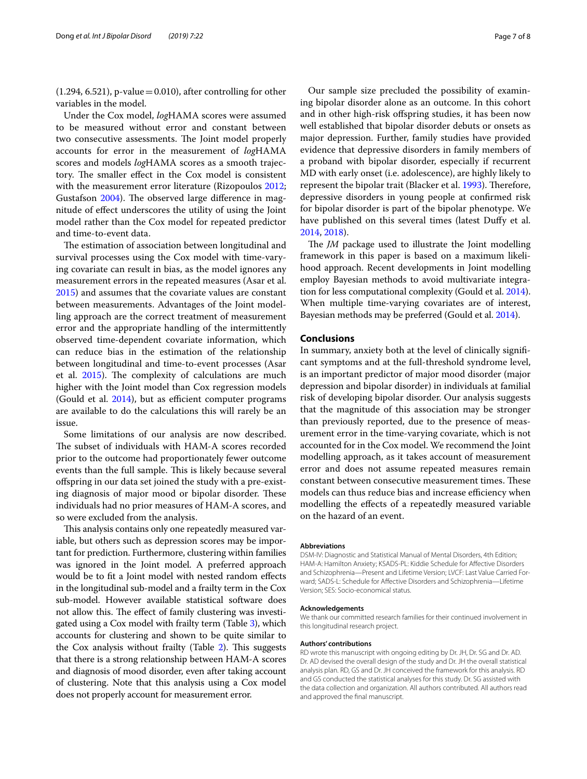$(1.294, 6.521)$ , p-value = 0.010), after controlling for other variables in the model.

Under the Cox model, *log*HAMA scores were assumed to be measured without error and constant between two consecutive assessments. The Joint model properly accounts for error in the measurement of *log*HAMA scores and models *log*HAMA scores as a smooth trajectory. The smaller effect in the Cox model is consistent with the measurement error literature (Rizopoulos [2012](#page-7-14); Gustafson [2004\)](#page-7-9). The observed large difference in magnitude of efect underscores the utility of using the Joint model rather than the Cox model for repeated predictor and time-to-event data.

The estimation of association between longitudinal and survival processes using the Cox model with time-varying covariate can result in bias, as the model ignores any measurement errors in the repeated measures (Asar et al. [2015](#page-7-26)) and assumes that the covariate values are constant between measurements. Advantages of the Joint modelling approach are the correct treatment of measurement error and the appropriate handling of the intermittently observed time-dependent covariate information, which can reduce bias in the estimation of the relationship between longitudinal and time-to-event processes (Asar et al. [2015](#page-7-26)). The complexity of calculations are much higher with the Joint model than Cox regression models (Gould et al.  $2014$ ), but as efficient computer programs are available to do the calculations this will rarely be an issue.

Some limitations of our analysis are now described. The subset of individuals with HAM-A scores recorded prior to the outcome had proportionately fewer outcome events than the full sample. This is likely because several ofspring in our data set joined the study with a pre-existing diagnosis of major mood or bipolar disorder. These individuals had no prior measures of HAM-A scores, and so were excluded from the analysis.

This analysis contains only one repeatedly measured variable, but others such as depression scores may be important for prediction. Furthermore, clustering within families was ignored in the Joint model. A preferred approach would be to ft a Joint model with nested random efects in the longitudinal sub-model and a frailty term in the Cox sub-model. However available statistical software does not allow this. The effect of family clustering was investigated using a Cox model with frailty term (Table [3](#page-4-1)), which accounts for clustering and shown to be quite similar to the Cox analysis without frailty (Table  $2$ ). This suggests that there is a strong relationship between HAM-A scores and diagnosis of mood disorder, even after taking account of clustering. Note that this analysis using a Cox model does not properly account for measurement error.

Our sample size precluded the possibility of examining bipolar disorder alone as an outcome. In this cohort and in other high-risk ofspring studies, it has been now well established that bipolar disorder debuts or onsets as major depression. Further, family studies have provided evidence that depressive disorders in family members of a proband with bipolar disorder, especially if recurrent MD with early onset (i.e. adolescence), are highly likely to represent the bipolar trait (Blacker et al. [1993\)](#page-7-27). Therefore, depressive disorders in young people at confrmed risk for bipolar disorder is part of the bipolar phenotype. We have published on this several times (latest Dufy et al. [2014](#page-7-1), [2018\)](#page-7-2).

The *JM* package used to illustrate the Joint modelling framework in this paper is based on a maximum likelihood approach. Recent developments in Joint modelling employ Bayesian methods to avoid multivariate integration for less computational complexity (Gould et al. [2014](#page-7-15)). When multiple time-varying covariates are of interest, Bayesian methods may be preferred (Gould et al. [2014\)](#page-7-15).

# **Conclusions**

In summary, anxiety both at the level of clinically signifcant symptoms and at the full-threshold syndrome level, is an important predictor of major mood disorder (major depression and bipolar disorder) in individuals at familial risk of developing bipolar disorder. Our analysis suggests that the magnitude of this association may be stronger than previously reported, due to the presence of measurement error in the time-varying covariate, which is not accounted for in the Cox model. We recommend the Joint modelling approach, as it takes account of measurement error and does not assume repeated measures remain constant between consecutive measurement times. These models can thus reduce bias and increase efficiency when modelling the efects of a repeatedly measured variable on the hazard of an event.

#### **Abbreviations**

DSM-IV: Diagnostic and Statistical Manual of Mental Disorders, 4th Edition; HAM-A: Hamilton Anxiety; KSADS-PL: Kiddie Schedule for Afective Disorders and Schizophrenia—Present and Lifetime Version; LVCF: Last Value Carried Forward; SADS-L: Schedule for Afective Disorders and Schizophrenia—Lifetime Version; SES: Socio-economical status.

#### **Acknowledgements**

We thank our committed research families for their continued involvement in this longitudinal research project.

#### **Authors' contributions**

RD wrote this manuscript with ongoing editing by Dr. JH, Dr. SG and Dr. AD. Dr. AD devised the overall design of the study and Dr. JH the overall statistical analysis plan. RD, GS and Dr. JH conceived the framework for this analysis. RD and GS conducted the statistical analyses for this study. Dr. SG assisted with the data collection and organization. All authors contributed. All authors read and approved the fnal manuscript.